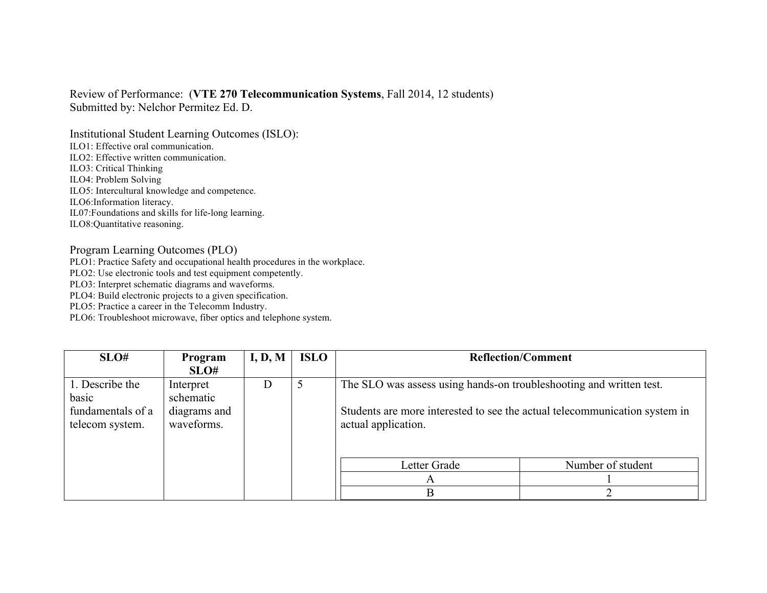## Review of Performance: (**VTE 270 Telecommunication Systems**, Fall 2014, 12 students) Submitted by: Nelchor Permitez Ed. D.

Institutional Student Learning Outcomes (ISLO):

ILO1: Effective oral communication.

ILO2: Effective written communication.

ILO3: Critical Thinking

ILO4: Problem Solving

ILO5: Intercultural knowledge and competence.

ILO6:Information literacy.

IL07:Foundations and skills for life-long learning.

ILO8:Quantitative reasoning.

## Program Learning Outcomes (PLO)

PLO1: Practice Safety and occupational health procedures in the workplace.

PLO2: Use electronic tools and test equipment competently.

PLO3: Interpret schematic diagrams and waveforms.

PLO4: Build electronic projects to a given specification.

PLO5: Practice a career in the Telecomm Industry.

PLO6: Troubleshoot microwave, fiber optics and telephone system.

| SLO#                                                             | Program                                              | I, D, M | <b>ISLO</b> | <b>Reflection/Comment</b>                                                                                                                                                |                   |
|------------------------------------------------------------------|------------------------------------------------------|---------|-------------|--------------------------------------------------------------------------------------------------------------------------------------------------------------------------|-------------------|
|                                                                  | SLO#                                                 |         |             |                                                                                                                                                                          |                   |
| 1. Describe the<br>basic<br>fundamentals of a<br>telecom system. | Interpret<br>schematic<br>diagrams and<br>waveforms. | I)      |             | The SLO was assess using hands-on troubleshooting and written test.<br>Students are more interested to see the actual telecommunication system in<br>actual application. |                   |
|                                                                  |                                                      |         |             | Letter Grade<br>A<br>B                                                                                                                                                   | Number of student |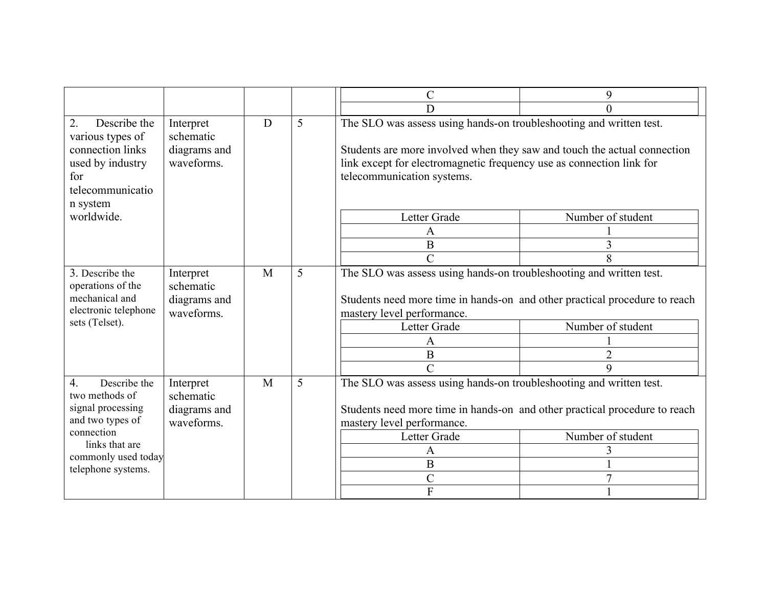|                                                                                                                                                                          |                                                      |   |   | $\mathcal{C}$                                                                                                                                                                                                                                                         | 9                                   |
|--------------------------------------------------------------------------------------------------------------------------------------------------------------------------|------------------------------------------------------|---|---|-----------------------------------------------------------------------------------------------------------------------------------------------------------------------------------------------------------------------------------------------------------------------|-------------------------------------|
|                                                                                                                                                                          |                                                      |   |   | D                                                                                                                                                                                                                                                                     |                                     |
| Describe the<br>2.<br>various types of<br>connection links<br>used by industry<br>for<br>telecommunicatio<br>n system                                                    | Interpret<br>schematic<br>diagrams and<br>waveforms. | D | 5 | The SLO was assess using hands-on troubleshooting and written test.<br>Students are more involved when they saw and touch the actual connection<br>link except for electromagnetic frequency use as connection link for<br>telecommunication systems.                 |                                     |
| worldwide.                                                                                                                                                               |                                                      |   |   | Letter Grade                                                                                                                                                                                                                                                          | Number of student                   |
|                                                                                                                                                                          |                                                      |   |   | A                                                                                                                                                                                                                                                                     |                                     |
|                                                                                                                                                                          |                                                      |   |   | $\bf{B}$                                                                                                                                                                                                                                                              | 3                                   |
|                                                                                                                                                                          |                                                      |   |   | $\mathcal{C}$                                                                                                                                                                                                                                                         |                                     |
| 3. Describe the<br>operations of the<br>mechanical and<br>electronic telephone<br>sets (Telset).                                                                         | Interpret<br>schematic<br>diagrams and<br>waveforms. | M | 5 | The SLO was assess using hands-on troubleshooting and written test.<br>Students need more time in hands-on and other practical procedure to reach<br>mastery level performance.<br>Letter Grade<br>A<br>$\bf{B}$<br>$\overline{C}$                                    | Number of student<br>$\overline{2}$ |
| $\overline{4}$ .<br>Describe the<br>two methods of<br>signal processing<br>and two types of<br>connection<br>links that are<br>commonly used today<br>telephone systems. | Interpret<br>schematic<br>diagrams and<br>waveforms. | M | 5 | The SLO was assess using hands-on troubleshooting and written test.<br>Students need more time in hands-on and other practical procedure to reach<br>mastery level performance.<br>Number of student<br>Letter Grade<br>A<br>$\bf{B}$<br>$\mathcal{C}$<br>$\mathbf F$ |                                     |